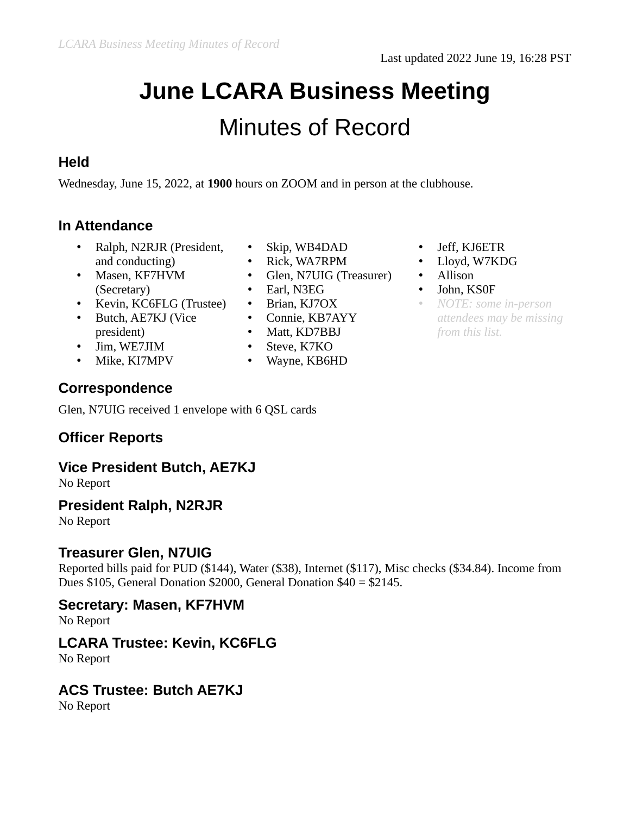# **June LCARA Business Meeting** Minutes of Record

## **Held**

Wednesday, June 15, 2022, at **1900** hours on ZOOM and in person at the clubhouse.

# **In Attendance**

- Ralph, N2RJR (President, and conducting)
- Masen, KF7HVM (Secretary)
- Kevin, KC6FLG (Trustee)
- Butch, AE7KJ (Vice president)
- Jim, WE7JIM
- Mike, KI7MPV

# **Correspondence**

Glen, N7UIG received 1 envelope with 6 QSL cards

# **Officer Reports**

## **Vice President Butch, AE7KJ**

No Report

#### **President Ralph, N2RJR**

No Report

## **Treasurer Glen, N7UIG**

Reported bills paid for PUD (\$144), Water (\$38), Internet (\$117), Misc checks (\$34.84). Income from Dues \$105, General Donation \$2000, General Donation \$40 = \$2145.

#### **Secretary: Masen, KF7HVM**

No Report

## **LCARA Trustee: Kevin, KC6FLG**

No Report

## **ACS Trustee: Butch AE7KJ**

No Report

- Skip, WB4DAD
- Rick, WA7RPM
- Glen, N7UIG (Treasurer)
- Earl, N3EG
- Brian, KJ7OX
- Connie, KB7AYY
- Matt, KD7BBJ
- Steve, K7KO
- Wayne, KB6HD
- Jeff, KJ6ETR
- Lloyd, W7KDG
- Allison
- John, KS0F
- *NOTE: some in-person attendees may be missing from this list.*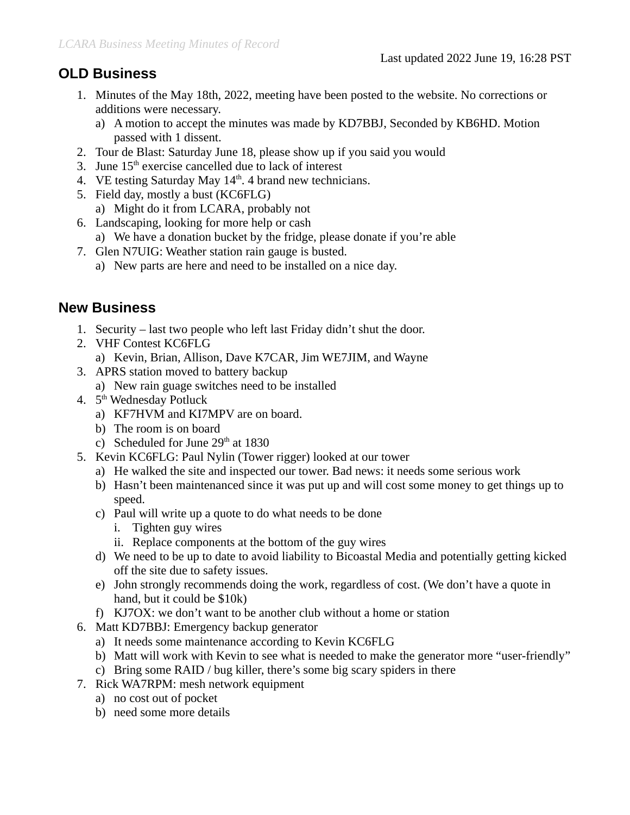## **OLD Business**

- 1. Minutes of the May 18th, 2022, meeting have been posted to the website. No corrections or additions were necessary.
	- a) A motion to accept the minutes was made by KD7BBJ, Seconded by KB6HD. Motion passed with 1 dissent.
- 2. Tour de Blast: Saturday June 18, please show up if you said you would
- 3. June  $15<sup>th</sup>$  exercise cancelled due to lack of interest
- 4. VE testing Saturday May  $14<sup>th</sup>$ . 4 brand new technicians.
- 5. Field day, mostly a bust (KC6FLG)
	- a) Might do it from LCARA, probably not
- 6. Landscaping, looking for more help or cash
	- a) We have a donation bucket by the fridge, please donate if you're able
- 7. Glen N7UIG: Weather station rain gauge is busted.
	- a) New parts are here and need to be installed on a nice day.

## **New Business**

- 1. Security last two people who left last Friday didn't shut the door.
- 2. VHF Contest KC6FLG
	- a) Kevin, Brian, Allison, Dave K7CAR, Jim WE7JIM, and Wayne
- 3. APRS station moved to battery backup a) New rain guage switches need to be installed
- 4. 5<sup>th</sup> Wednesday Potluck
	- a) KF7HVM and KI7MPV are on board.
	- b) The room is on board
	- c) Scheduled for June  $29<sup>th</sup>$  at 1830
- 5. Kevin KC6FLG: Paul Nylin (Tower rigger) looked at our tower
	- a) He walked the site and inspected our tower. Bad news: it needs some serious work
	- b) Hasn't been maintenanced since it was put up and will cost some money to get things up to speed.
	- c) Paul will write up a quote to do what needs to be done
		- i. Tighten guy wires
		- ii. Replace components at the bottom of the guy wires
	- d) We need to be up to date to avoid liability to Bicoastal Media and potentially getting kicked off the site due to safety issues.
	- e) John strongly recommends doing the work, regardless of cost. (We don't have a quote in hand, but it could be \$10k)
	- f) KJ7OX: we don't want to be another club without a home or station
- 6. Matt KD7BBJ: Emergency backup generator
	- a) It needs some maintenance according to Kevin KC6FLG
	- b) Matt will work with Kevin to see what is needed to make the generator more "user-friendly"
	- c) Bring some RAID / bug killer, there's some big scary spiders in there
- 7. Rick WA7RPM: mesh network equipment
	- a) no cost out of pocket
	- b) need some more details